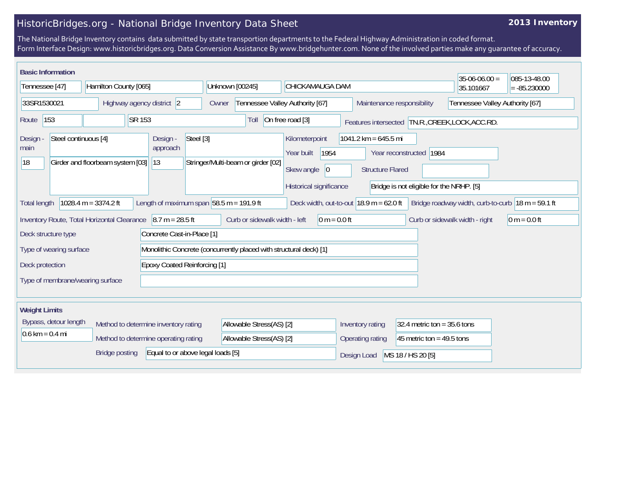## HistoricBridges.org - National Bridge Inventory Data Sheet

## **2013 Inventory**

The National Bridge Inventory contains data submitted by state transportion departments to the Federal Highway Administration in coded format. Form Interface Design: www.historicbridges.org. Data Conversion Assistance By www.bridgehunter.com. None of the involved parties make any guarantee of accuracy.

| <b>Basic Information</b>                                                                                                                                                                                          |                                                        |                           |                                   |                                                                    |                                      |                               |                                          | $35-06-06.00 =$                                  | 085-13-48.00   |  |
|-------------------------------------------------------------------------------------------------------------------------------------------------------------------------------------------------------------------|--------------------------------------------------------|---------------------------|-----------------------------------|--------------------------------------------------------------------|--------------------------------------|-------------------------------|------------------------------------------|--------------------------------------------------|----------------|--|
| Tennessee [47]                                                                                                                                                                                                    |                                                        | Hamilton County [065]     |                                   | Unknown [00245]                                                    | CHICKAMAUGA DAM                      |                               |                                          | 35.101667                                        | $= -85.230000$ |  |
| 33SR1530021                                                                                                                                                                                                       |                                                        | Highway agency district 2 |                                   | Owner                                                              | Tennessee Valley Authority [67]      | Maintenance responsibility    |                                          | Tennessee Valley Authority [67]                  |                |  |
| SR 153<br>153<br>Route                                                                                                                                                                                            |                                                        |                           |                                   | Toll                                                               | On free road [3]                     |                               |                                          | Features intersected TN.R., CREEK, LOCK, ACC.RD. |                |  |
| Steel continuous [4]<br><b>Design</b><br>main                                                                                                                                                                     |                                                        |                           | Design -<br>Steel [3]<br>approach |                                                                    | Kilometerpoint<br>1954<br>Year built | $1041.2$ km = 645.5 mi        | Year reconstructed 1984                  |                                                  |                |  |
|                                                                                                                                                                                                                   | 18<br>Girder and floorbeam system [03]<br>$ 13\rangle$ |                           |                                   | Stringer/Multi-beam or girder [02]                                 | Skew angle<br>$ 0\rangle$            | <b>Structure Flared</b>       |                                          |                                                  |                |  |
|                                                                                                                                                                                                                   |                                                        |                           |                                   |                                                                    | Historical significance              |                               | Bridge is not eligible for the NRHP. [5] |                                                  |                |  |
| Length of maximum span $ 58.5 \text{ m} = 191.9 \text{ ft} $<br>1028.4 m = $3374.2$ ft<br>Deck width, out-to-out $18.9$ m = 62.0 ft<br>Bridge roadway width, curb-to-curb $18 m = 59.1 ft$<br><b>Total length</b> |                                                        |                           |                                   |                                                                    |                                      |                               |                                          |                                                  |                |  |
| Curb or sidewalk width - left<br>Inventory Route, Total Horizontal Clearance<br>$8.7 m = 28.5 ft$<br>$0 m = 0.0 ft$<br>Curb or sidewalk width - right<br>0 m = $0.0$ ft                                           |                                                        |                           |                                   |                                                                    |                                      |                               |                                          |                                                  |                |  |
| Concrete Cast-in-Place [1]<br>Deck structure type                                                                                                                                                                 |                                                        |                           |                                   |                                                                    |                                      |                               |                                          |                                                  |                |  |
| Type of wearing surface                                                                                                                                                                                           |                                                        |                           |                                   | Monolithic Concrete (concurrently placed with structural deck) [1] |                                      |                               |                                          |                                                  |                |  |
| Deck protection<br><b>Epoxy Coated Reinforcing [1]</b>                                                                                                                                                            |                                                        |                           |                                   |                                                                    |                                      |                               |                                          |                                                  |                |  |
| Type of membrane/wearing surface                                                                                                                                                                                  |                                                        |                           |                                   |                                                                    |                                      |                               |                                          |                                                  |                |  |
|                                                                                                                                                                                                                   |                                                        |                           |                                   |                                                                    |                                      |                               |                                          |                                                  |                |  |
| <b>Weight Limits</b>                                                                                                                                                                                              |                                                        |                           |                                   |                                                                    |                                      |                               |                                          |                                                  |                |  |
| Bypass, detour length<br>Method to determine inventory rating<br>$0.6 \text{ km} = 0.4 \text{ mi}$<br>Method to determine operating rating                                                                        |                                                        |                           | Allowable Stress(AS) [2]          |                                                                    | Inventory rating                     | 32.4 metric ton = $35.6$ tons |                                          |                                                  |                |  |
|                                                                                                                                                                                                                   |                                                        |                           |                                   | Allowable Stress(AS) [2]                                           |                                      | Operating rating              | 45 metric ton = $49.5$ tons              |                                                  |                |  |
| Equal to or above legal loads [5]<br><b>Bridge posting</b>                                                                                                                                                        |                                                        |                           |                                   |                                                                    |                                      | Design Load                   | MS 18 / HS 20 [5]                        |                                                  |                |  |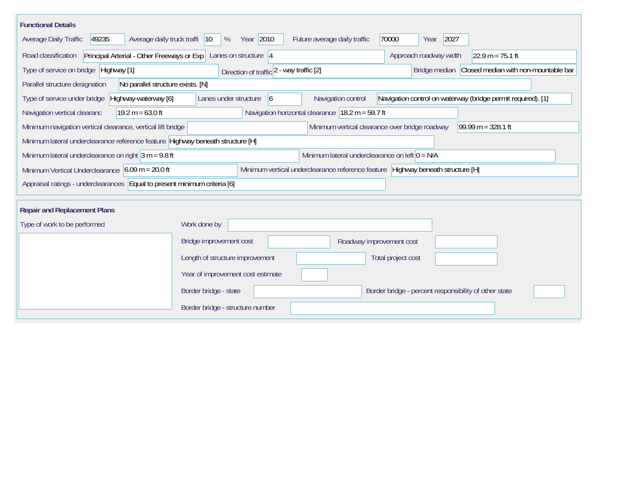| <b>Functional Details</b>                                                                                                                                                 |                                                                                                |  |  |  |  |  |  |  |  |
|---------------------------------------------------------------------------------------------------------------------------------------------------------------------------|------------------------------------------------------------------------------------------------|--|--|--|--|--|--|--|--|
| 49235<br>Average daily truck traffi  10<br>Average Daily Traffic                                                                                                          | Year 2010<br>2027<br>%<br>Future average daily traffic<br>70000<br>Year                        |  |  |  |  |  |  |  |  |
| Principal Arterial - Other Freeways or Exp   Lanes on structure   4<br>Road classification<br>Approach roadway width<br>$22.9 m = 75.1 ft$                                |                                                                                                |  |  |  |  |  |  |  |  |
| Type of service on bridge Highway [1]                                                                                                                                     | Bridge median Closed median with non-mountable bar<br>Direction of traffic 2 - way traffic [2] |  |  |  |  |  |  |  |  |
| Parallel structure designation<br>No parallel structure exists. [N]                                                                                                       |                                                                                                |  |  |  |  |  |  |  |  |
| Navigation control on waterway (bridge permit required). [1]<br>Type of service under bridge<br>Highway-waterway [6]<br>Lanes under structure<br>Navigation control<br>16 |                                                                                                |  |  |  |  |  |  |  |  |
| Navigation horizontal clearance $ 18.2 \text{ m} = 59.7 \text{ ft} $<br>Navigation vertical clearanc<br>$19.2 m = 63.0 ft$                                                |                                                                                                |  |  |  |  |  |  |  |  |
| Minimum navigation vertical clearance, vertical lift bridge                                                                                                               | Minimum vertical clearance over bridge roadway<br>$99.99 m = 328.1 ft$                         |  |  |  |  |  |  |  |  |
| Minimum lateral underclearance reference feature Highway beneath structure [H]                                                                                            |                                                                                                |  |  |  |  |  |  |  |  |
| Minimum lateral underclearance on right $3 m = 9.8 ft$<br>Minimum lateral underclearance on left $0 = N/A$                                                                |                                                                                                |  |  |  |  |  |  |  |  |
| Minimum Vertical Underclearance $6.09$ m = 20.0 ft                                                                                                                        | Minimum vertical underclearance reference feature Highway beneath structure [H]                |  |  |  |  |  |  |  |  |
| Appraisal ratings - underclearances   Equal to present minimum criteria [6]                                                                                               |                                                                                                |  |  |  |  |  |  |  |  |
|                                                                                                                                                                           |                                                                                                |  |  |  |  |  |  |  |  |
| <b>Repair and Replacement Plans</b>                                                                                                                                       |                                                                                                |  |  |  |  |  |  |  |  |
| Type of work to be performed                                                                                                                                              | Work done by                                                                                   |  |  |  |  |  |  |  |  |
|                                                                                                                                                                           | Bridge improvement cost<br>Roadway improvement cost                                            |  |  |  |  |  |  |  |  |
|                                                                                                                                                                           | Length of structure improvement<br>Total project cost                                          |  |  |  |  |  |  |  |  |
|                                                                                                                                                                           | Year of improvement cost estimate                                                              |  |  |  |  |  |  |  |  |
|                                                                                                                                                                           | Border bridge - state<br>Border bridge - percent responsibility of other state                 |  |  |  |  |  |  |  |  |
|                                                                                                                                                                           | Border bridge - structure number                                                               |  |  |  |  |  |  |  |  |